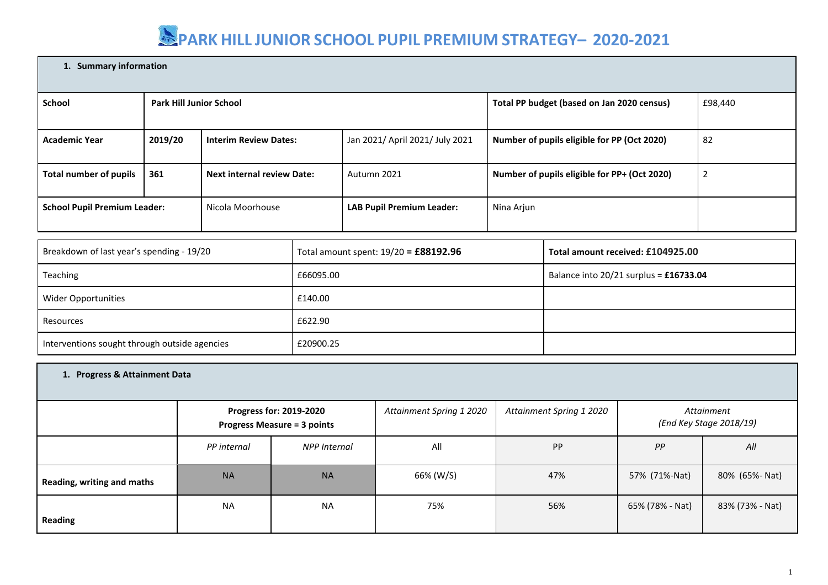#### **1. Summary information**

|                                     |                                   |                                  | Total PP budget (based on Jan 2020 census)   | £98,440 |
|-------------------------------------|-----------------------------------|----------------------------------|----------------------------------------------|---------|
|                                     |                                   |                                  |                                              |         |
| 2019/20                             | <b>Interim Review Dates:</b>      | Jan 2021/ April 2021/ July 2021  | Number of pupils eligible for PP (Oct 2020)  | 82      |
|                                     |                                   |                                  |                                              |         |
| 361                                 | <b>Next internal review Date:</b> | Autumn 2021                      | Number of pupils eligible for PP+ (Oct 2020) | 2       |
| <b>School Pupil Premium Leader:</b> | Nicola Moorhouse                  | <b>LAB Pupil Premium Leader:</b> | Nina Arjun                                   |         |
|                                     |                                   | <b>Park Hill Junior School</b>   |                                              |         |

| Breakdown of last year's spending - 19/20     | Total amount spent: $19/20 = £88192.96$ | Total amount received: £104925.00      |
|-----------------------------------------------|-----------------------------------------|----------------------------------------|
| Teaching                                      | £66095.00                               | Balance into 20/21 surplus = £16733.04 |
| Wider Opportunities                           | £140.00                                 |                                        |
| Resources                                     | £622.90                                 |                                        |
| Interventions sought through outside agencies | £20900.25                               |                                        |

| 1. Progress & Attainment Data |             |                                                               |                          |                          |                 |                                       |  |
|-------------------------------|-------------|---------------------------------------------------------------|--------------------------|--------------------------|-----------------|---------------------------------------|--|
|                               |             | Progress for: 2019-2020<br><b>Progress Measure = 3 points</b> | Attainment Spring 1 2020 | Attainment Spring 1 2020 |                 | Attainment<br>(End Key Stage 2018/19) |  |
|                               | PP internal | <b>NPP Internal</b>                                           | All                      | <b>PP</b>                | PP              | All                                   |  |
| Reading, writing and maths    | <b>NA</b>   | <b>NA</b>                                                     | 66% (W/S)                | 47%                      | 57% (71%-Nat)   | 80% (65%- Nat)                        |  |
| <b>Reading</b>                | <b>NA</b>   | <b>NA</b>                                                     | 75%                      | 56%                      | 65% (78% - Nat) | 83% (73% - Nat)                       |  |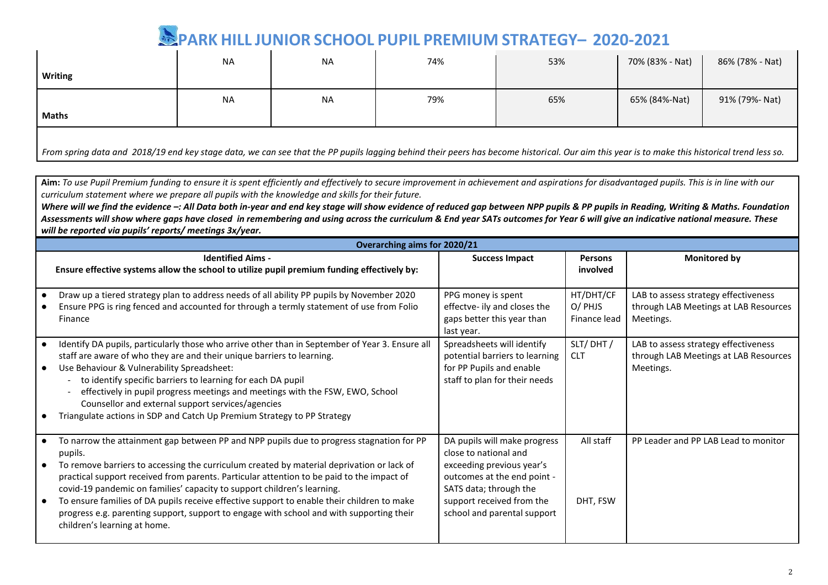|                                                                                                                                                                                              | <b>NA</b> | <b>NA</b> | 74% | 53% | 70% (83% - Nat) | 86% (78% - Nat) |  |
|----------------------------------------------------------------------------------------------------------------------------------------------------------------------------------------------|-----------|-----------|-----|-----|-----------------|-----------------|--|
| Writing                                                                                                                                                                                      |           |           |     |     |                 |                 |  |
|                                                                                                                                                                                              | <b>NA</b> | <b>NA</b> | 79% | 65% | 65% (84%-Nat)   | 91% (79%- Nat)  |  |
| <b>Maths</b>                                                                                                                                                                                 |           |           |     |     |                 |                 |  |
| From spring data and 2018/19 end key stage data, we can see that the PP pupils lagging behind their peers has become historical. Our aim this year is to make this historical trend less so. |           |           |     |     |                 |                 |  |

Aim: To use Pupil Premium funding to ensure it is spent efficiently and effectively to secure improvement in achievement and aspirations for disadvantaged pupils. This is in line with our *curriculum statement where we prepare all pupils with the knowledge and skills for their future.*

*Where will we find the evidence –: All Data both in-year and end key stage will show evidence of reduced gap between NPP pupils & PP pupils in Reading, Writing & Maths. Foundation Assessments will show where gaps have closed in remembering and using across the curriculum & End year SATs outcomes for Year 6 will give an indicative national measure. These will be reported via pupils' reports/ meetings 3x/year.*

| <b>Overarching aims for 2020/21</b>                                                                                                                                                                                                                                                                                                                                                                                                                                                                                                                                                                |                                                                                                                                                                                                         |                                      |                                                                                            |  |  |  |  |
|----------------------------------------------------------------------------------------------------------------------------------------------------------------------------------------------------------------------------------------------------------------------------------------------------------------------------------------------------------------------------------------------------------------------------------------------------------------------------------------------------------------------------------------------------------------------------------------------------|---------------------------------------------------------------------------------------------------------------------------------------------------------------------------------------------------------|--------------------------------------|--------------------------------------------------------------------------------------------|--|--|--|--|
| <b>Identified Aims -</b><br>Ensure effective systems allow the school to utilize pupil premium funding effectively by:                                                                                                                                                                                                                                                                                                                                                                                                                                                                             | <b>Success Impact</b>                                                                                                                                                                                   | <b>Persons</b><br>involved           | <b>Monitored by</b>                                                                        |  |  |  |  |
| Draw up a tiered strategy plan to address needs of all ability PP pupils by November 2020<br>Ensure PPG is ring fenced and accounted for through a termly statement of use from Folio<br>Finance                                                                                                                                                                                                                                                                                                                                                                                                   | PPG money is spent<br>effectve- ily and closes the<br>gaps better this year than<br>last year.                                                                                                          | HT/DHT/CF<br>O/ PHJS<br>Finance lead | LAB to assess strategy effectiveness<br>through LAB Meetings at LAB Resources<br>Meetings. |  |  |  |  |
| Identify DA pupils, particularly those who arrive other than in September of Year 3. Ensure all<br>staff are aware of who they are and their unique barriers to learning.<br>Use Behaviour & Vulnerability Spreadsheet:<br>to identify specific barriers to learning for each DA pupil<br>effectively in pupil progress meetings and meetings with the FSW, EWO, School<br>Counsellor and external support services/agencies<br>Triangulate actions in SDP and Catch Up Premium Strategy to PP Strategy                                                                                            | Spreadsheets will identify<br>potential barriers to learning<br>for PP Pupils and enable<br>staff to plan for their needs                                                                               | SLT/DHT/<br><b>CLT</b>               | LAB to assess strategy effectiveness<br>through LAB Meetings at LAB Resources<br>Meetings. |  |  |  |  |
| To narrow the attainment gap between PP and NPP pupils due to progress stagnation for PP<br>pupils.<br>To remove barriers to accessing the curriculum created by material deprivation or lack of<br>practical support received from parents. Particular attention to be paid to the impact of<br>covid-19 pandemic on families' capacity to support children's learning.<br>To ensure families of DA pupils receive effective support to enable their children to make<br>progress e.g. parenting support, support to engage with school and with supporting their<br>children's learning at home. | DA pupils will make progress<br>close to national and<br>exceeding previous year's<br>outcomes at the end point -<br>SATS data; through the<br>support received from the<br>school and parental support | All staff<br>DHT, FSW                | PP Leader and PP LAB Lead to monitor                                                       |  |  |  |  |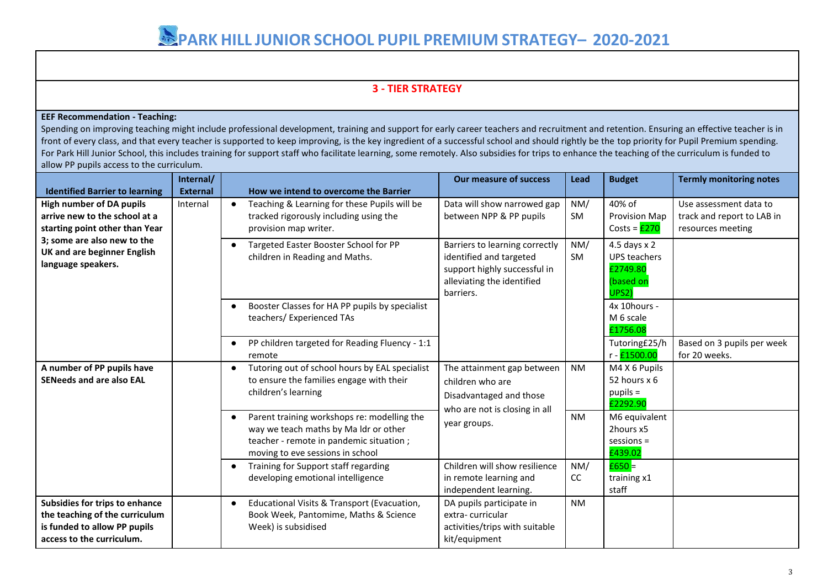### **3 - TIER STRATEGY**

#### **EEF Recommendation - Teaching:**

Spending on improving teaching might include professional development, training and support for early career teachers and recruitment and retention. Ensuring an effective teacher is in front of every class, and that every teacher is supported to keep improving, is the key ingredient of a successful school and should rightly be the top priority for Pupil Premium spending. For Park Hill Junior School, this includes training for support staff who facilitate learning, some remotely. Also subsidies for trips to enhance the teaching of the curriculum is funded to allow PP pupils access to the curriculum.

|                                                                                                                                                                                               | Internal/       |                                                                                                                                                                     | <b>Our measure of success</b>                                                                                              | Lead                                                                                                                                 | <b>Budget</b>                                           | <b>Termly monitoring notes</b>                                            |  |
|-----------------------------------------------------------------------------------------------------------------------------------------------------------------------------------------------|-----------------|---------------------------------------------------------------------------------------------------------------------------------------------------------------------|----------------------------------------------------------------------------------------------------------------------------|--------------------------------------------------------------------------------------------------------------------------------------|---------------------------------------------------------|---------------------------------------------------------------------------|--|
| <b>Identified Barrier to learning</b>                                                                                                                                                         | <b>External</b> | How we intend to overcome the Barrier                                                                                                                               |                                                                                                                            |                                                                                                                                      |                                                         |                                                                           |  |
| <b>High number of DA pupils</b><br>arrive new to the school at a<br>starting point other than Year<br>3; some are also new to the<br><b>UK and are beginner English</b><br>language speakers. | Internal        | Teaching & Learning for these Pupils will be<br>tracked rigorously including using the<br>provision map writer.                                                     | Data will show narrowed gap<br>between NPP & PP pupils                                                                     | NM/<br>SM                                                                                                                            | 40% of<br><b>Provision Map</b><br>Costs = $E270$        | Use assessment data to<br>track and report to LAB in<br>resources meeting |  |
|                                                                                                                                                                                               |                 |                                                                                                                                                                     | Targeted Easter Booster School for PP<br>children in Reading and Maths.                                                    | Barriers to learning correctly<br>identified and targeted<br>support highly successful in<br>alleviating the identified<br>barriers. | NM/<br>SM                                               | 4.5 days $x$ 2<br><b>UPS teachers</b><br>£2749.80<br>(based on<br>UPS2)   |  |
|                                                                                                                                                                                               |                 | Booster Classes for HA PP pupils by specialist<br>teachers/ Experienced TAs                                                                                         |                                                                                                                            |                                                                                                                                      | 4x 10hours -<br>M 6 scale<br>£1756.08                   |                                                                           |  |
|                                                                                                                                                                                               |                 | PP children targeted for Reading Fluency - 1:1<br>remote                                                                                                            |                                                                                                                            |                                                                                                                                      | Tutoring£25/h<br>r - £1500.00                           | Based on 3 pupils per week<br>for 20 weeks.                               |  |
| A number of PP pupils have<br><b>SENeeds and are also EAL</b>                                                                                                                                 |                 | Tutoring out of school hours by EAL specialist<br>$\bullet$<br>to ensure the families engage with their<br>children's learning                                      | The attainment gap between<br>children who are<br>Disadvantaged and those<br>who are not is closing in all<br>year groups. | <b>NM</b>                                                                                                                            | M4 X 6 Pupils<br>52 hours x 6<br>$pupils =$<br>£2292.90 |                                                                           |  |
|                                                                                                                                                                                               |                 | Parent training workshops re: modelling the<br>way we teach maths by Ma Idr or other<br>teacher - remote in pandemic situation;<br>moving to eve sessions in school |                                                                                                                            | <b>NM</b>                                                                                                                            | M6 equivalent<br>2hours x5<br>$s$ essions =<br>£439.02  |                                                                           |  |
|                                                                                                                                                                                               |                 | Training for Support staff regarding<br>$\bullet$<br>developing emotional intelligence                                                                              | Children will show resilience<br>in remote learning and<br>independent learning.                                           | NM/<br>cc                                                                                                                            | $£650 =$<br>training x1<br>staff                        |                                                                           |  |
| Subsidies for trips to enhance<br>the teaching of the curriculum<br>is funded to allow PP pupils<br>access to the curriculum.                                                                 |                 | Educational Visits & Transport (Evacuation,<br>$\bullet$<br>Book Week, Pantomime, Maths & Science<br>Week) is subsidised                                            | DA pupils participate in<br>extra-curricular<br>activities/trips with suitable<br>kit/equipment                            | <b>NM</b>                                                                                                                            |                                                         |                                                                           |  |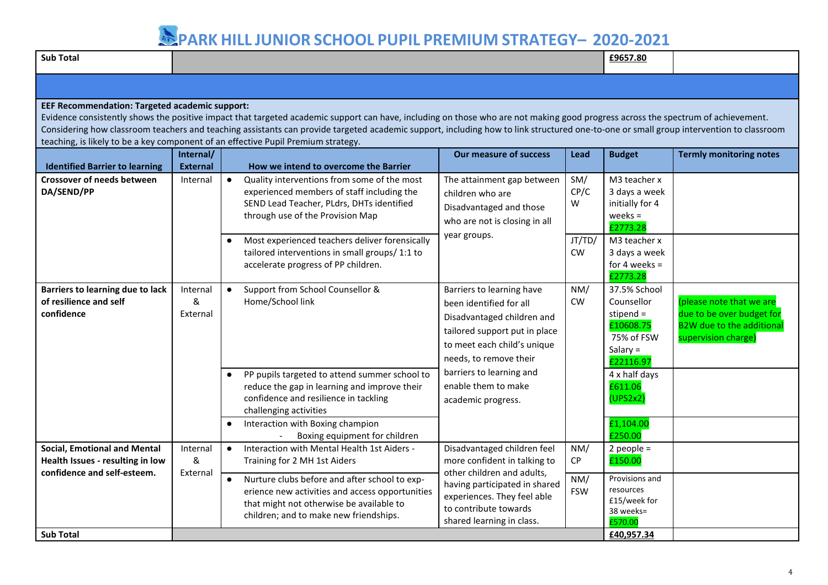| <b>Sub Total</b>                                                                                                                                                                                                                                                                                                                                                                                                                                                                                                         |                              |                                                                                                                                                                                                                                                                 |                                                                                                                                                                              |                     | £9657.80                                                                                        |                                                                                                                  |  |
|--------------------------------------------------------------------------------------------------------------------------------------------------------------------------------------------------------------------------------------------------------------------------------------------------------------------------------------------------------------------------------------------------------------------------------------------------------------------------------------------------------------------------|------------------------------|-----------------------------------------------------------------------------------------------------------------------------------------------------------------------------------------------------------------------------------------------------------------|------------------------------------------------------------------------------------------------------------------------------------------------------------------------------|---------------------|-------------------------------------------------------------------------------------------------|------------------------------------------------------------------------------------------------------------------|--|
|                                                                                                                                                                                                                                                                                                                                                                                                                                                                                                                          |                              |                                                                                                                                                                                                                                                                 |                                                                                                                                                                              |                     |                                                                                                 |                                                                                                                  |  |
| <b>EEF Recommendation: Targeted academic support:</b><br>Evidence consistently shows the positive impact that targeted academic support can have, including on those who are not making good progress across the spectrum of achievement.<br>Considering how classroom teachers and teaching assistants can provide targeted academic support, including how to link structured one-to-one or small group intervention to classroom<br>teaching, is likely to be a key component of an effective Pupil Premium strategy. |                              |                                                                                                                                                                                                                                                                 |                                                                                                                                                                              |                     |                                                                                                 |                                                                                                                  |  |
| <b>Identified Barrier to learning</b>                                                                                                                                                                                                                                                                                                                                                                                                                                                                                    | Internal/<br><b>External</b> | How we intend to overcome the Barrier                                                                                                                                                                                                                           | <b>Our measure of success</b>                                                                                                                                                | <b>Lead</b>         | <b>Budget</b>                                                                                   | <b>Termly monitoring notes</b>                                                                                   |  |
| <b>Crossover of needs between</b><br>DA/SEND/PP                                                                                                                                                                                                                                                                                                                                                                                                                                                                          | Internal                     | $\bullet$<br>Quality interventions from some of the most<br>experienced members of staff including the<br>SEND Lead Teacher, PLdrs, DHTs identified<br>through use of the Provision Map                                                                         | The attainment gap between<br>children who are<br>Disadvantaged and those<br>who are not is closing in all                                                                   | SM/<br>CP/C<br>W    | M3 teacher x<br>3 days a week<br>initially for 4<br>$weeks =$<br>£2773.28                       |                                                                                                                  |  |
|                                                                                                                                                                                                                                                                                                                                                                                                                                                                                                                          |                              | Most experienced teachers deliver forensically<br>tailored interventions in small groups/ 1:1 to<br>accelerate progress of PP children.                                                                                                                         | year groups.                                                                                                                                                                 | JT/TD/<br><b>CW</b> | M3 teacher x<br>3 days a week<br>for 4 weeks $=$<br>£2773.28                                    |                                                                                                                  |  |
| Barriers to learning due to lack<br>of resilience and self<br>confidence                                                                                                                                                                                                                                                                                                                                                                                                                                                 | Internal<br>&<br>External    | Support from School Counsellor &<br>$\bullet$<br>Home/School link                                                                                                                                                                                               | Barriers to learning have<br>been identified for all<br>Disadvantaged children and<br>tailored support put in place<br>to meet each child's unique<br>needs, to remove their | NM/<br><b>CW</b>    | 37.5% School<br>Counsellor<br>stipend $=$<br>£10608.75<br>75% of FSW<br>Salary $=$<br>£22116.97 | (please note that we are<br>due to be over budget for<br><b>B2W due to the additional</b><br>supervision charge) |  |
|                                                                                                                                                                                                                                                                                                                                                                                                                                                                                                                          |                              | PP pupils targeted to attend summer school to<br>$\bullet$<br>reduce the gap in learning and improve their<br>confidence and resilience in tackling<br>challenging activities<br>Interaction with Boxing champion<br>$\bullet$<br>Boxing equipment for children | barriers to learning and<br>enable them to make<br>academic progress.                                                                                                        |                     | 4 x half days<br>£611.06<br>(UPS2x2)<br>£1,104.00<br>£250.00                                    |                                                                                                                  |  |
| <b>Social, Emotional and Mental</b><br>Health Issues - resulting in low<br>confidence and self-esteem.                                                                                                                                                                                                                                                                                                                                                                                                                   | Internal<br>&                | Interaction with Mental Health 1st Aiders -<br>$\bullet$<br>Training for 2 MH 1st Aiders                                                                                                                                                                        | Disadvantaged children feel<br>more confident in talking to                                                                                                                  | NM/<br>CP           | $2$ people =<br>£150.00                                                                         |                                                                                                                  |  |
|                                                                                                                                                                                                                                                                                                                                                                                                                                                                                                                          | External                     | Nurture clubs before and after school to exp-<br>$\bullet$<br>erience new activities and access opportunities<br>that might not otherwise be available to<br>children; and to make new friendships.                                                             | other children and adults,<br>having participated in shared<br>experiences. They feel able<br>to contribute towards<br>shared learning in class.                             | NM/<br><b>FSW</b>   | Provisions and<br>resources<br>£15/week for<br>38 weeks=<br>£570.00                             |                                                                                                                  |  |
| <b>Sub Total</b>                                                                                                                                                                                                                                                                                                                                                                                                                                                                                                         |                              |                                                                                                                                                                                                                                                                 |                                                                                                                                                                              |                     | £40,957.34                                                                                      |                                                                                                                  |  |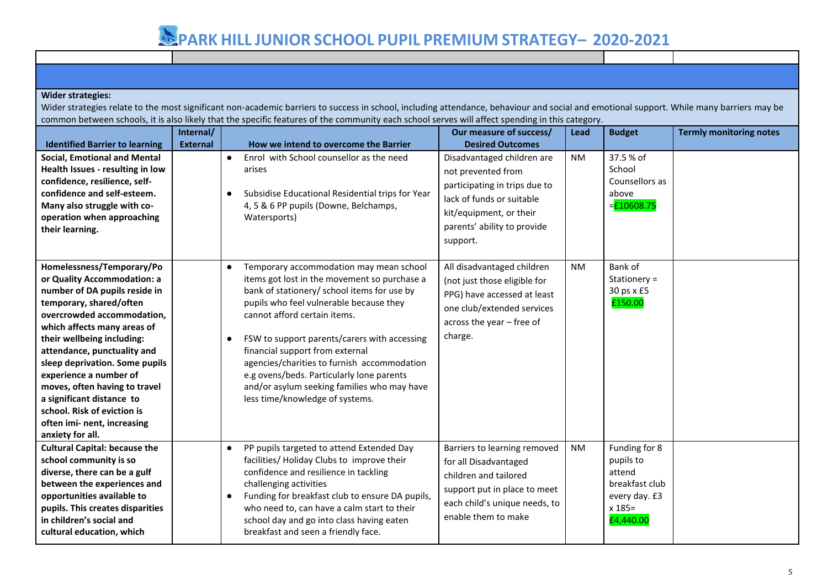#### **Wider strategies:**

Wider strategies relate to the most significant non-academic barriers to success in school, including attendance, behaviour and social and emotional support. While many barriers may be common between schools, it is also likely that the specific features of the community each school serves will affect spending in this category.

|                                                                                                                                                                                                                                                                                                                                                                                                                                                            | Internal/       |                                                                                                                                                                                                                                                                                                                                                                                                                                                                                                 | Our measure of success/                                                                                                                                                              | Lead      | <b>Budget</b>                                                                                     | <b>Termly monitoring notes</b> |
|------------------------------------------------------------------------------------------------------------------------------------------------------------------------------------------------------------------------------------------------------------------------------------------------------------------------------------------------------------------------------------------------------------------------------------------------------------|-----------------|-------------------------------------------------------------------------------------------------------------------------------------------------------------------------------------------------------------------------------------------------------------------------------------------------------------------------------------------------------------------------------------------------------------------------------------------------------------------------------------------------|--------------------------------------------------------------------------------------------------------------------------------------------------------------------------------------|-----------|---------------------------------------------------------------------------------------------------|--------------------------------|
| <b>Identified Barrier to learning</b>                                                                                                                                                                                                                                                                                                                                                                                                                      | <b>External</b> | How we intend to overcome the Barrier                                                                                                                                                                                                                                                                                                                                                                                                                                                           | <b>Desired Outcomes</b>                                                                                                                                                              |           |                                                                                                   |                                |
| <b>Social, Emotional and Mental</b><br>Health Issues - resulting in low<br>confidence, resilience, self-<br>confidence and self-esteem.<br>Many also struggle with co-<br>operation when approaching<br>their learning.                                                                                                                                                                                                                                    |                 | Enrol with School counsellor as the need<br>$\bullet$<br>arises<br>Subsidise Educational Residential trips for Year<br>$\bullet$<br>4, 5 & 6 PP pupils (Downe, Belchamps,<br>Watersports)                                                                                                                                                                                                                                                                                                       | Disadvantaged children are<br>not prevented from<br>participating in trips due to<br>lack of funds or suitable<br>kit/equipment, or their<br>parents' ability to provide<br>support. | <b>NM</b> | 37.5 % of<br>School<br>Counsellors as<br>above<br>$=$ £10608.75                                   |                                |
| Homelessness/Temporary/Po<br>or Quality Accommodation: a<br>number of DA pupils reside in<br>temporary, shared/often<br>overcrowded accommodation,<br>which affects many areas of<br>their wellbeing including:<br>attendance, punctuality and<br>sleep deprivation. Some pupils<br>experience a number of<br>moves, often having to travel<br>a significant distance to<br>school. Risk of eviction is<br>often imi- nent, increasing<br>anxiety for all. |                 | Temporary accommodation may mean school<br>$\bullet$<br>items got lost in the movement so purchase a<br>bank of stationery/ school items for use by<br>pupils who feel vulnerable because they<br>cannot afford certain items.<br>FSW to support parents/carers with accessing<br>financial support from external<br>agencies/charities to furnish accommodation<br>e.g ovens/beds. Particularly lone parents<br>and/or asylum seeking families who may have<br>less time/knowledge of systems. | All disadvantaged children<br>(not just those eligible for<br>PPG) have accessed at least<br>one club/extended services<br>across the year - free of<br>charge.                      | <b>NM</b> | Bank of<br>Stationery =<br>30 ps x £5<br>£150.00                                                  |                                |
| <b>Cultural Capital: because the</b><br>school community is so<br>diverse, there can be a gulf<br>between the experiences and<br>opportunities available to<br>pupils. This creates disparities<br>in children's social and<br>cultural education, which                                                                                                                                                                                                   |                 | PP pupils targeted to attend Extended Day<br>$\bullet$<br>facilities/ Holiday Clubs to improve their<br>confidence and resilience in tackling<br>challenging activities<br>Funding for breakfast club to ensure DA pupils,<br>$\bullet$<br>who need to, can have a calm start to their<br>school day and go into class having eaten<br>breakfast and seen a friendly face.                                                                                                                      | Barriers to learning removed<br>for all Disadvantaged<br>children and tailored<br>support put in place to meet<br>each child's unique needs, to<br>enable them to make               | <b>NM</b> | Funding for 8<br>pupils to<br>attend<br>breakfast club<br>every day. £3<br>$x 185 =$<br>£4,440.00 |                                |